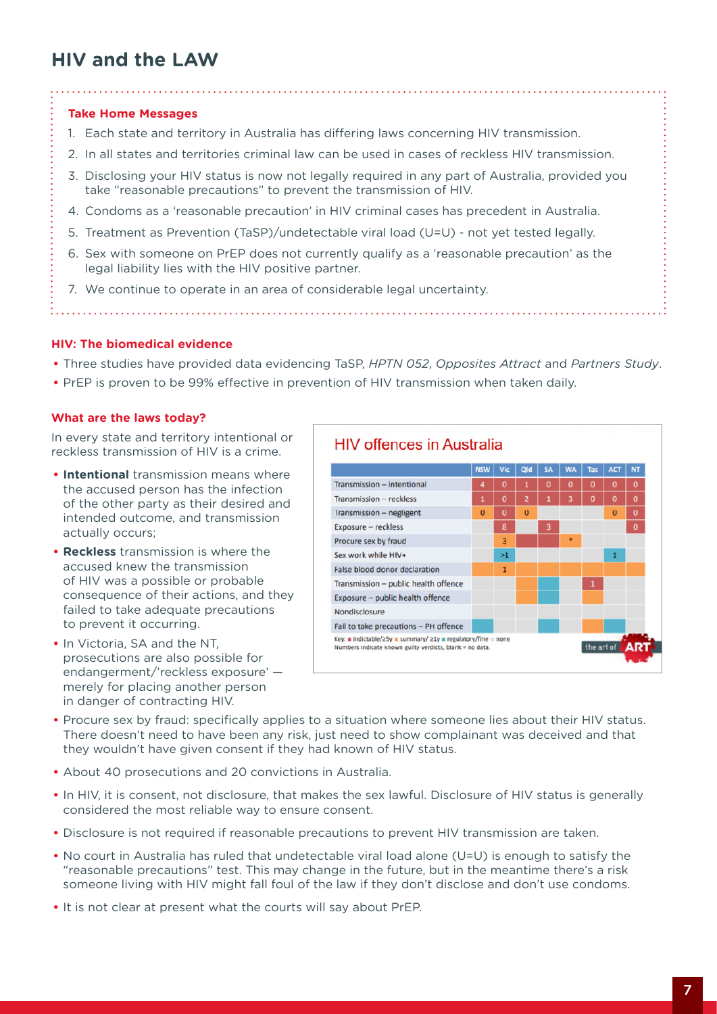# **HIV and the LAW**

# **Take Home Messages**

- 1. Each state and territory in Australia has differing laws concerning HIV transmission.
- 2. In all states and territories criminal law can be used in cases of reckless HIV transmission.
- 3. Disclosing your HIV status is now not legally required in any part of Australia, provided you take "reasonable precautions" to prevent the transmission of HIV.
- 4. Condoms as a 'reasonable precaution' in HIV criminal cases has precedent in Australia.
- 5. Treatment as Prevention (TaSP)/undetectable viral load (U=U) not yet tested legally.
- 6. Sex with someone on PrEP does not currently qualify as a 'reasonable precaution' as the legal liability lies with the HIV positive partner.
- 7. We continue to operate in an area of considerable legal uncertainty.

### **HIV: The biomedical evidence**

- **•** Three studies have provided data evidencing TaSP, *HPTN 052*, *Opposites Attract* and *Partners Study*.
- **•** PrEP is proven to be 99% effective in prevention of HIV transmission when taken daily.

#### **What are the laws today?**

In every state and territory intentional or reckless transmission of HIV is a crime.

- **• Intentional** transmission means where the accused person has the infection of the other party as their desired and intended outcome, and transmission actually occurs;
- **• Reckless** transmission is where the accused knew the transmission of HIV was a possible or probable consequence of their actions, and they failed to take adequate precautions to prevent it occurring.
- **•** In Victoria, SA and the NT, prosecutions are also possible for endangerment/'reckless exposure' merely for placing another person in danger of contracting HIV.



- **•** Procure sex by fraud: specifically applies to a situation where someone lies about their HIV status. There doesn't need to have been any risk, just need to show complainant was deceived and that they wouldn't have given consent if they had known of HIV status.
- **•** About 40 prosecutions and 20 convictions in Australia.
- **•** In HIV, it is consent, not disclosure, that makes the sex lawful. Disclosure of HIV status is generally considered the most reliable way to ensure consent.
- **•** Disclosure is not required if reasonable precautions to prevent HIV transmission are taken.
- **•** No court in Australia has ruled that undetectable viral load alone (U=U) is enough to satisfy the "reasonable precautions" test. This may change in the future, but in the meantime there's a risk someone living with HIV might fall foul of the law if they don't disclose and don't use condoms.
- **•** It is not clear at present what the courts will say about PrEP.